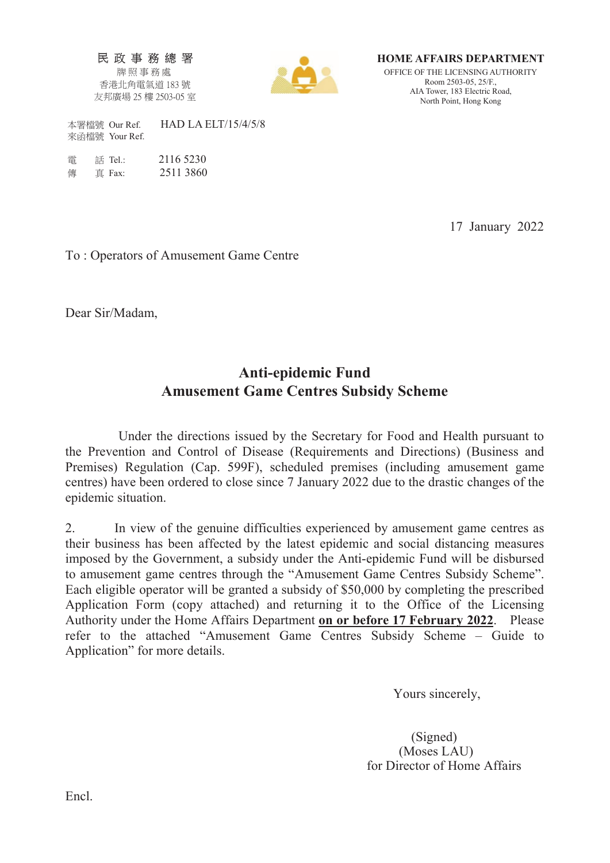民政事務總署 牌照事務處 香港北角電氣道 183號 友邦廣場 25 樓 2503-05 室



HOME AFFAIRS DEPARTMENT OFFICE OF THE LICENSING AUTHORITY Room 2503-05, 25/F., AIA Tower, 183 Electric Road, North Point, Hong Kong

本署檔號 Our Ref. HAD LA ELT/15/4/5/8 來函檔號 Your Ref.

| 雷 | 話 Tel.: | 2116 5230 |
|---|---------|-----------|
| 俥 | 直 Fax:  | 2511 3860 |

17 January 2022

To : Operators of Amusement Game Centre

Dear Sir/Madam,

## Anti-epidemic Fund Amusement Game Centres Subsidy Scheme

 Under the directions issued by the Secretary for Food and Health pursuant to the Prevention and Control of Disease (Requirements and Directions) (Business and Premises) Regulation (Cap. 599F), scheduled premises (including amusement game centres) have been ordered to close since 7 January 2022 due to the drastic changes of the epidemic situation.

2. In view of the genuine difficulties experienced by amusement game centres as their business has been affected by the latest epidemic and social distancing measures imposed by the Government, a subsidy under the Anti-epidemic Fund will be disbursed to amusement game centres through the "Amusement Game Centres Subsidy Scheme". Each eligible operator will be granted a subsidy of \$50,000 by completing the prescribed Application Form (copy attached) and returning it to the Office of the Licensing Authority under the Home Affairs Department on or before 17 February 2022. Please refer to the attached "Amusement Game Centres Subsidy Scheme – Guide to Application" for more details.

Yours sincerely,

 (Signed) (Moses LAU) for Director of Home Affairs

Encl.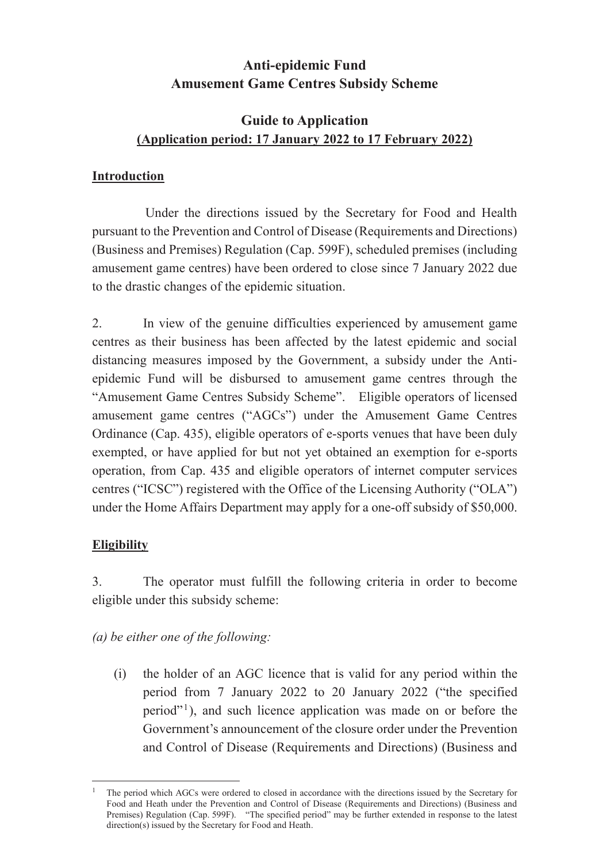## **Anti-epidemic Fund Amusement Game Centres Subsidy Scheme**

## **Guide to Application (Application period: 17 January 2022 to 17 February 2022)**

### **Introduction**

 Under the directions issued by the Secretary for Food and Health pursuant to the Prevention and Control of Disease (Requirements and Directions) (Business and Premises) Regulation (Cap. 599F), scheduled premises (including amusement game centres) have been ordered to close since 7 January 2022 due to the drastic changes of the epidemic situation.

2. In view of the genuine difficulties experienced by amusement game centres as their business has been affected by the latest epidemic and social distancing measures imposed by the Government, a subsidy under the Antiepidemic Fund will be disbursed to amusement game centres through the "Amusement Game Centres Subsidy Scheme". Eligible operators of licensed amusement game centres ("AGCs") under the Amusement Game Centres Ordinance (Cap. 435), eligible operators of e-sports venues that have been duly exempted, or have applied for but not yet obtained an exemption for e-sports operation, from Cap. 435 and eligible operators of internet computer services centres ("ICSC") registered with the Office of the Licensing Authority ("OLA") under the Home Affairs Department may apply for a one-off subsidy of \$50,000.

### **Eligibility**

.

3. The operator must fulfill the following criteria in order to become eligible under this subsidy scheme:

*(a) be either one of the following:* 

(i) the holder of an AGC licence that is valid for any period within the period from 7 January 2022 to 20 January 2022 ("the specified period"1), and such licence application was made on or before the Government's announcement of the closure order under the Prevention and Control of Disease (Requirements and Directions) (Business and

<sup>1</sup> The period which AGCs were ordered to closed in accordance with the directions issued by the Secretary for Food and Heath under the Prevention and Control of Disease (Requirements and Directions) (Business and Premises) Regulation (Cap. 599F). "The specified period" may be further extended in response to the latest direction(s) issued by the Secretary for Food and Heath.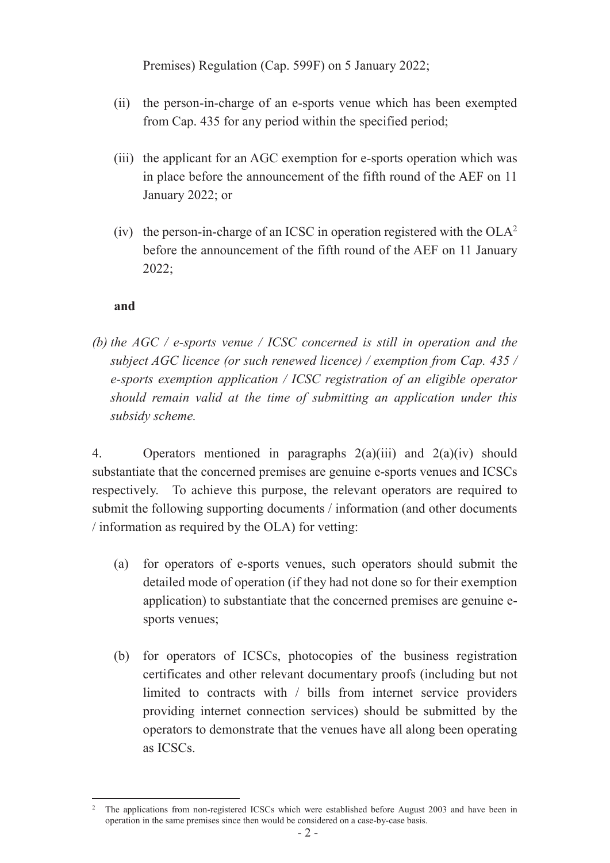Premises) Regulation (Cap. 599F) on 5 January 2022;

- (ii) the person-in-charge of an e-sports venue which has been exempted from Cap. 435 for any period within the specified period;
- (iii) the applicant for an AGC exemption for e-sports operation which was in place before the announcement of the fifth round of the AEF on 11 January 2022; or
- (iv) the person-in-charge of an ICSC in operation registered with the  $OLA<sup>2</sup>$ before the announcement of the fifth round of the AEF on 11 January 2022;

### **and**

*(b) the AGC / e-sports venue / ICSC concerned is still in operation and the subject AGC licence (or such renewed licence) / exemption from Cap. 435 / e-sports exemption application / ICSC registration of an eligible operator should remain valid at the time of submitting an application under this subsidy scheme.* 

4. Operators mentioned in paragraphs  $2(a)(iii)$  and  $2(a)(iv)$  should substantiate that the concerned premises are genuine e-sports venues and ICSCs respectively. To achieve this purpose, the relevant operators are required to submit the following supporting documents / information (and other documents / information as required by the OLA) for vetting:

- (a) for operators of e-sports venues, such operators should submit the detailed mode of operation (if they had not done so for their exemption application) to substantiate that the concerned premises are genuine esports venues;
- (b) for operators of ICSCs, photocopies of the business registration certificates and other relevant documentary proofs (including but not limited to contracts with / bills from internet service providers providing internet connection services) should be submitted by the operators to demonstrate that the venues have all along been operating as ICSCs.

<sup>.</sup> <sup>2</sup> The applications from non-registered ICSCs which were established before August 2003 and have been in operation in the same premises since then would be considered on a case-by-case basis.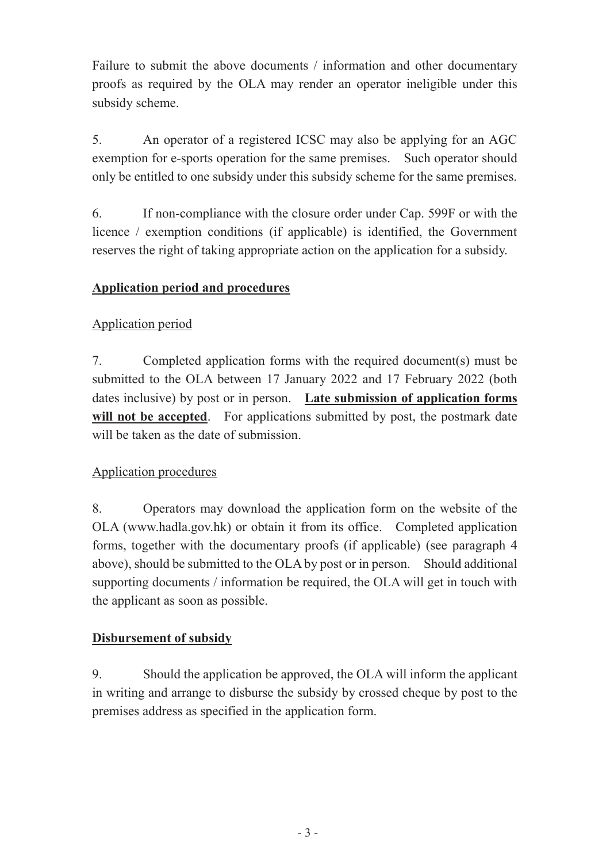Failure to submit the above documents / information and other documentary proofs as required by the OLA may render an operator ineligible under this subsidy scheme.

5. An operator of a registered ICSC may also be applying for an AGC exemption for e-sports operation for the same premises. Such operator should only be entitled to one subsidy under this subsidy scheme for the same premises.

6. If non-compliance with the closure order under Cap. 599F or with the licence / exemption conditions (if applicable) is identified, the Government reserves the right of taking appropriate action on the application for a subsidy.

### **Application period and procedures**

### Application period

7. Completed application forms with the required document(s) must be submitted to the OLA between 17 January 2022 and 17 February 2022 (both dates inclusive) by post or in person. **Late submission of application forms**  will not be accepted. For applications submitted by post, the postmark date will be taken as the date of submission.

### Application procedures

8. Operators may download the application form on the website of the OLA (www.hadla.gov.hk) or obtain it from its office. Completed application forms, together with the documentary proofs (if applicable) (see paragraph 4 above), should be submitted to the OLA by post or in person. Should additional supporting documents / information be required, the OLA will get in touch with the applicant as soon as possible.

### **Disbursement of subsidy**

9. Should the application be approved, the OLA will inform the applicant in writing and arrange to disburse the subsidy by crossed cheque by post to the premises address as specified in the application form.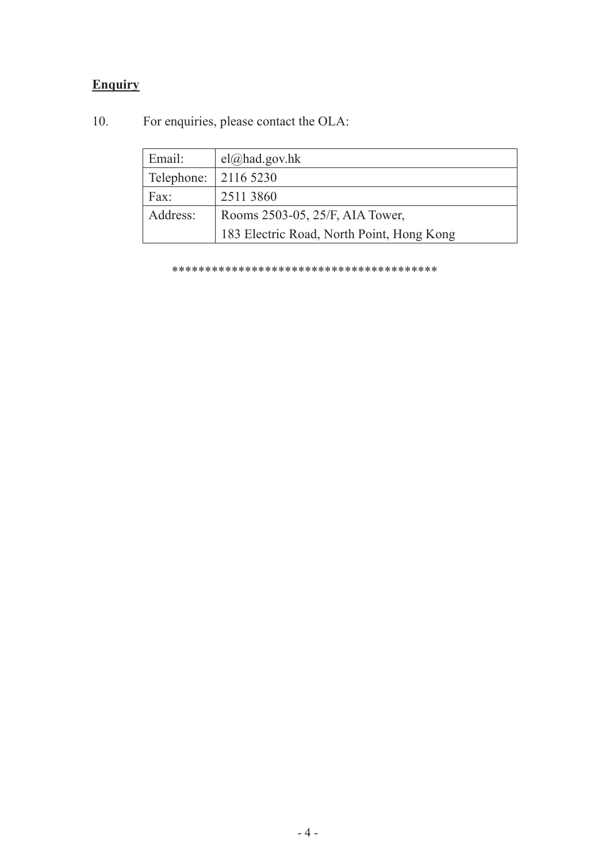# **Enquiry**

| Email:     | $el(\omega)$ had.gov.hk                   |  |
|------------|-------------------------------------------|--|
| Telephone: | 2116 5230                                 |  |
| Fax:       | 2511 3860                                 |  |
| Address:   | Rooms 2503-05, 25/F, AIA Tower,           |  |
|            | 183 Electric Road, North Point, Hong Kong |  |

For enquiries, please contact the OLA:  $10.$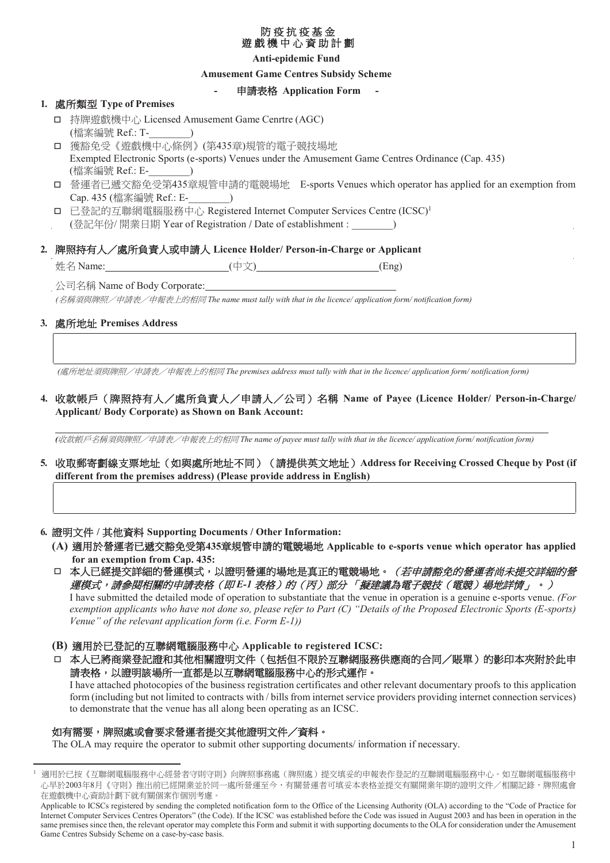#### 防疫抗疫基金 遊戲機中心資助計劃

### **Anti-epidemic Fund**

#### **Amusement Game Centres Subsidy Scheme**

#### 申請表格 Application Form

### 1. 處所類型 Type of Premises

- □ 持牌遊戲機中心 Licensed Amusement Game Cenrtre (AGC)  $\overline{\phantom{a}}$ (檔案編號 Ref.: T-
- □ 獲豁免受《遊戲機中心條例》(第435章)規管的電子競技場地 Exempted Electronic Sports (e-sports) Venues under the Amusement Game Centres Ordinance (Cap. 435) (檔案編號 Ref.: E- )
- □ 營運者已遞交豁免受第435章規管申請的電競場地 E-sports Venues which operator has applied for an exemption from Cap. 435 (檔案編號 Ref.: E-
- □ 已登記的互聯網電腦服務中心 Registered Internet Computer Services Centre (ICSC)<sup>1</sup>
- (登記年份/開業日期 Year of Registration / Date of establishment : )

### 2. 牌照持有人/處所負責人或申請人 Licence Holder/ Person-in-Charge or Applicant

(中文) 姓名 Name:  $(Eng)$ 

公司名稱 Name of Body Corporate:

(名稱須與牌照/申請表/申報表上的相同 The name must tally with that in the licence/application form/notification form)

#### 3. 處所地址 Premises Address

(處所地址須與牌照/申請表/申報表上的相同 The premises address must tally with that in the licence/ application form/notification form)

### 4. 收款帳戶 (牌照持有人/處所負責人/申請人/公司) 名稱 Name of Payee (Licence Holder/ Person-in-Charge/ **Applicant/Body Corporate) as Shown on Bank Account:**

(收款帳戶名稱須與牌照/申請表/申報表上的相同 The name of payee must tally with that in the licence/application form/notification form)

5. 收取郵寄劃線支票地址 (如與處所地址不同) (請提供英文地址) Address for Receiving Crossed Cheque by Post (if different from the premises address) (Please provide address in English)

6. 證明文件 / 其他資料 Supporting Documents / Other Information:

(A) 適用於營運者已遞交豁免受第435章規管申請的電競場地 Applicable to e-sports venue which operator has applied for an exemption from Cap. 435:

口 本人已經提交詳細的營運模式,以證明營運的場地是真正的電競場地。(若申請豁免的營運者尚未提交詳細的營 *運模式,請參閱相關的申請表格(即 E-1 表格)的(丙)部分 「擬建議為電子競技(電競)場地詳情」*。) I have submitted the detailed mode of operation to substantiate that the venue in operation is a genuine e-sports venue. (For exemption applicants who have not done so, please refer to Part (C) "Details of the Proposed Electronic Sports (E-sports)

Venue" of the relevant application form  $(i.e. Form E-1)$ )

- (B) 適用於已登記的互聯網電腦服務中心 Applicable to registered ICSC:
- □ 本人已將商業登記證和其他相關證明文件 (包括但不限於互聯網服務供應商的合同/賬單) 的影印本夾附於此申 請表格,以證明該場所一直都是以互聯網電腦服務中心的形式運作。

I have attached photocopies of the business registration certificates and other relevant documentary proofs to this application form (including but not limited to contracts with / bills from internet service providers providing internet connection services) to demonstrate that the venue has all along been operating as an ICSC.

#### 如有需要,牌照處或會要求營運者提交其他證明文件/資料。

The OLA may require the operator to submit other supporting documents/information if necessary.

適用於已按《互聯網電腦服務中心經營者守則守則》向牌照事務處(牌照處)提交填妥的申報表作登記的互聯網電腦服務中心。如互聯網電腦服務中 心早於2003年8月《守則》推出前已經開業並於同一處所營運至今,有關營運者可填妥本表格並提交有關開業年期的證明文件/相關記錄,牌照處會 在遊戲機中心資助計劃下就有關個案作個別考慮。

Applicable to ICSCs registered by sending the completed notification form to the Office of the Licensing Authority (OLA) according to the "Code of Practice for Internet Computer Services Centres Operators" (the Code). If the ICSC was established before the Code was issued in August 2003 and has been in operation in the same premises since then, the relevant operator may complete this Form and submit it with supporting documents to the OLA for consideration under the Amusement Game Centres Subsidy Scheme on a case-by-case basis.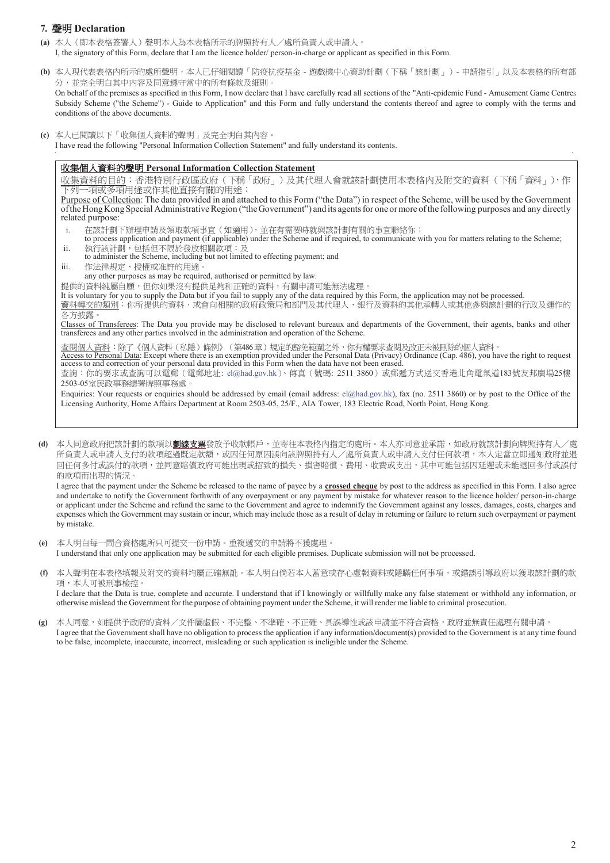#### 7. 聲明 Declaration

- (a) 本人(即本表格簽署人)聲明本人為本表格所示的牌照持有人/處所負責人或申請人。 I, the signatory of this Form, declare that I am the licence holder/ person-in-charge or applicant as specified in this Form.
- (b) 本人現代表表格內所示的處所聲明,本人已仔細閱讀「防疫抗疫基金 遊戲機中心資助計劃(下稱「該計劃」) 申請指引」以及本表格的所有部 分,並完全明白其中內容及同意遵守當中的所有條款及細則。

On behalf of the premises as specified in this Form, I now declare that I have carefully read all sections of the "Anti-epidemic Fund - Amusement Game Centres Subsidy Scheme ("the Scheme") - Guide to Application" and this Form and fully understand the contents thereof and agree to comply with the terms and conditions of the above documents.

(c) 本人已閱讀以下「收集個人資料的聲明」及完全明白其內容。 I have read the following "Personal Information Collection Statement" and fully understand its contents.

#### **收集個人資料的聲明 Personal Information Collection Statement**

收集資料的目的:香港特別行砭區政府(下稱「政府」)及其代理人會就該計劃使用本表格內及附交的資料(下稱「資料」),作 7列一項或多項用途或作其他直接有關的用途:

Purpose of Collection: The data provided in and attached to this Form ("the Data") in respect of the Scheme, will be used by the Government of the Hong Kong Special Administrative Region ("theGovernment") and its agents for one or more of the following purposes and any directly related purpose:

- i. 在該計劃下辦理申請及領取款項事宜(如適用),並在有需要時就與該計劃有關的事宜聯絡你;
- to process application and payment (if applicable) under the Scheme and if required, to communicate with you for matters relating to the Scheme;
- ii. 執行該計劃,包括但不限於發放相關款項;及<br>to administer the Scheme, including but not limited to effecting payment; and
- iii. 作法律規定、授權或准許的用途。

any other purposes as may be required, authorised or permitted by law.

提供的資料純屬自願,但你如果沒有提供足夠和正確的資料,有關申請可能無法處理。

It is voluntary for you to supply the Data but if you fail to supply any of the data required by this Form, the application may not be processed.

資料轉交的類別:你所提供的資料,或會向相關的政府政策局和部門及其代理人、銀行及資料的其他承轉人或其他參與該計劃的行政及運作的 各方披露

Classes of Transferees: The Data you provide may be disclosed to relevant bureaux and departments of the Government, their agents, banks and other transferees and any other parties involved in the administration and operation of the Scheme.

查閱個人資料:除了《個人資料(私隱)條例》(第486章)規定的豁免範圍之外,你有權要求查閱及改正未被刪除的個人資料。 Access to Personal Data: Except where there is an exemption provided under the Personal Data (Privacy) Ordinance (Cap. 486), you have the right to request access to and correction of your personal data provided in this Form when the data have not been erased. 查詢:你的要求或查詢可以電郵(電郵地址: el@had.gov.hk)、傳真 (號碼: 2511 3860) 或郵遞方式送交香港北角電氣道183號友邦廣場25樓 2503-05室民政事務總署牌照事務處。

Enquiries: Your requests or enquiries should be addressed by email (email address: el@had.gov.hk), fax (no. 2511 3860) or by post to the Office of the Licensing Authority, Home Affairs Department at Room 2503-05, 25/F., AIA Tower, 183 Electric Road, North Point, Hong Kong.

(d) 本人同意政府把該計劃的款項以**劃線支票**發放予收款帳戶,並寄往本表格內指定的處所。本人亦同意並承諾,如政府就該計劃向牌照持有人 所負責人或申請人支付的款項超過既完款額,或因任何原因誤向該牌照持有人/處所負責人或申請人支付任何款項,本人定當立即通知政府並退 回任何多付或誤付的款項,並同意賠償政府可能出現或招致的損失、損害賠償、費用、收費或支出,其中可能包括因延遲或未能退回多付或誤付 的款項而出現的情況。

I agree that the payment under the Scheme be released to the name of payee by a **crossed cheque** by post to the address as specified in this Form. I also agree and undertake to notify the Government forthwith of any overpayment or any payment by mistake for whatever reason to the licence holder/ person-in-charge or applicant under the Scheme and refund the same to the Government and agree to indemnify the Government against any losses, damages, costs, charges and expenses which the Government may sustain or incur, which may include those as a result of delay in returning or failure to return such overpayment or payment by mistake.

- (e) 本人明白每一間合資格處所只可提交一份申請。重複遞交的申請將不獲處理。 I understand that only one application may be submitted for each eligible premises. Duplicate submission will not be processed.
- (f) 本人聲明在本表格填報及附交的資料均屬正確無訛。本人明白倘若本人蓄意或存心虛報資料或隱瞞任何事項,或錯誤引導政府以獲取該計劃的款 項,本人可被刑事檢控。 I declare that the Data is true, complete and accurate. I understand that if I knowingly or willfully make any false statement or withhold any information, or otherwise mislead the Government for the purpose of obtaining payment under the Scheme, it will render me liable to criminal prosecution.
- (g) 本人同意,如提供予政府的資料/文件屬虛假、不完整、不準確、不正確、具誤導性或該申請並不符合資格,政府並無責任處理有關申請。 I agree that the Government shall have no obligation to process the application if any information/document(s) provided to the Government is at any time found to be false, incomplete, inaccurate, incorrect, misleading or such application is ineligible under the Scheme.